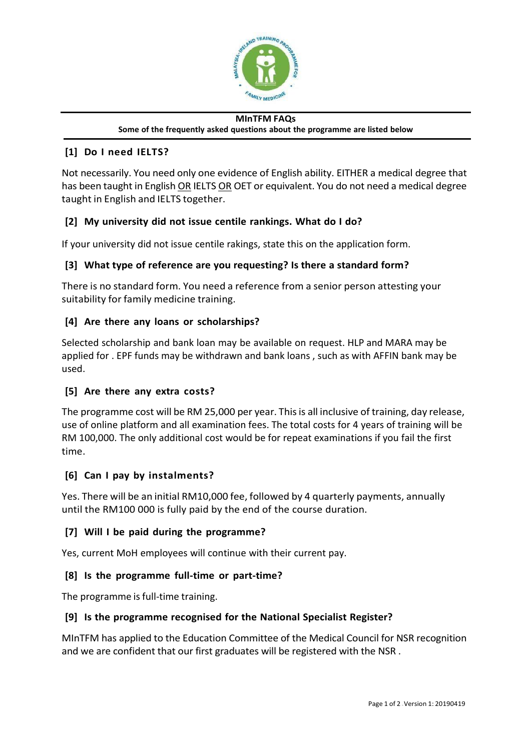

#### **MInTFM FAQs Some of the frequently asked questions about the programme are listed below**

# **[1] Do I need IELTS?**

Not necessarily. You need only one evidence of English ability. EITHER a medical degree that has been taught in English OR IELTS OR OET or equivalent. You do not need a medical degree taught in English and IELTS together.

## **[2] My university did not issue centile rankings. What do I do?**

If your university did not issue centile rakings, state this on the application form.

# **[3] What type of reference are you requesting? Is there a standard form?**

There is no standard form. You need a reference from a senior person attesting your suitability for family medicine training.

## **[4] Are there any loans or scholarships?**

Selected scholarship and bank loan may be available on request. HLP and MARA may be applied for . EPF funds may be withdrawn and bank loans , such as with AFFIN bank may be used.

## **[5] Are there any extra costs?**

The programme cost will be RM 25,000 per year. This is all inclusive of training, day release, use of online platform and all examination fees. The total costs for 4 years of training will be RM 100,000. The only additional cost would be for repeat examinations if you fail the first time.

## **[6] Can I pay by instalments?**

Yes. There will be an initial RM10,000 fee, followed by 4 quarterly payments, annually until the RM100 000 is fully paid by the end of the course duration.

## **[7] Will I be paid during the programme?**

Yes, current MoH employees will continue with their current pay.

## **[8] Is the programme full-time or part-time?**

The programme is full-time training.

## **[9] Is the programme recognised for the National Specialist Register?**

MInTFM has applied to the Education Committee of the Medical Council for NSR recognition and we are confident that our first graduates will be registered with the NSR .